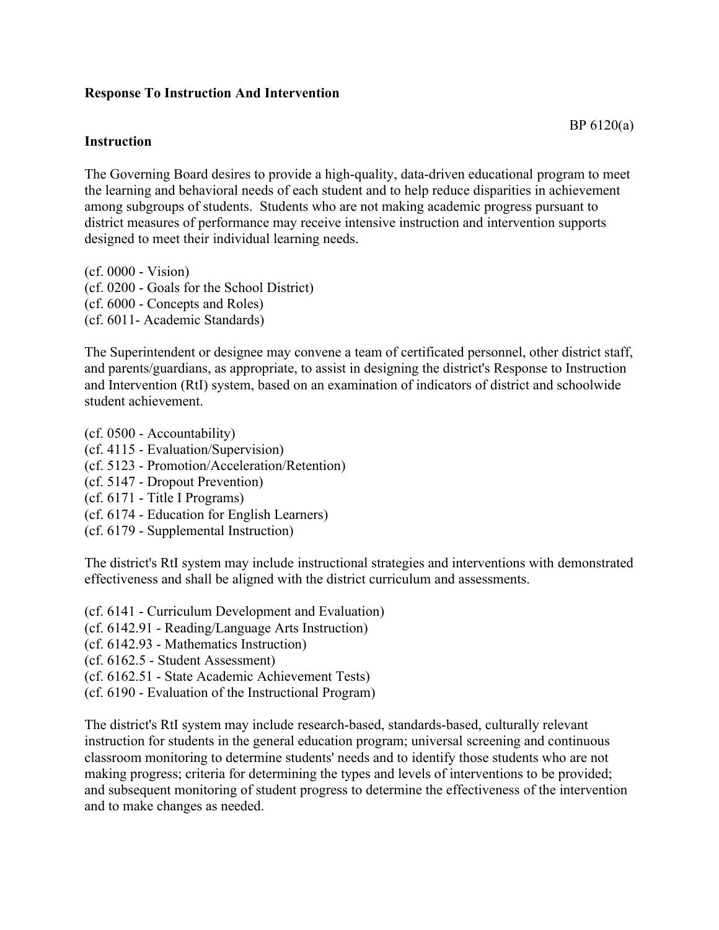## **Response To Instruction And Intervention**

## **Instruction**

The Governing Board desires to provide a high-quality, data-driven educational program to meet the learning and behavioral needs of each student and to help reduce disparities in achievement among subgroups of students. Students who are not making academic progress pursuant to district measures of performance may receive intensive instruction and intervention supports designed to meet their individual learning needs.

(cf. 0000 - Vision) (cf. 0200 - Goals for the School District) (cf. 6000 - Concepts and Roles) (cf. 6011- Academic Standards)

The Superintendent or designee may convene a team of certificated personnel, other district staff, and parents/guardians, as appropriate, to assist in designing the district's Response to Instruction and Intervention (RtI) system, based on an examination of indicators of district and schoolwide student achievement.

- (cf. 0500 Accountability)
- (cf. 4115 Evaluation/Supervision)
- (cf. 5123 Promotion/Acceleration/Retention)
- (cf. 5147 Dropout Prevention)
- (cf. 6171 Title I Programs)
- (cf. 6174 Education for English Learners)
- (cf. 6179 Supplemental Instruction)

The district's RtI system may include instructional strategies and interventions with demonstrated effectiveness and shall be aligned with the district curriculum and assessments.

- (cf. 6141 Curriculum Development and Evaluation)
- (cf. 6142.91 Reading/Language Arts Instruction)
- (cf. 6142.93 Mathematics Instruction)
- (cf. 6162.5 Student Assessment)
- (cf. 6162.51 State Academic Achievement Tests)
- (cf. 6190 Evaluation of the Instructional Program)

The district's RtI system may include research-based, standards-based, culturally relevant instruction for students in the general education program; universal screening and continuous classroom monitoring to determine students' needs and to identify those students who are not making progress; criteria for determining the types and levels of interventions to be provided; and subsequent monitoring of student progress to determine the effectiveness of the intervention and to make changes as needed.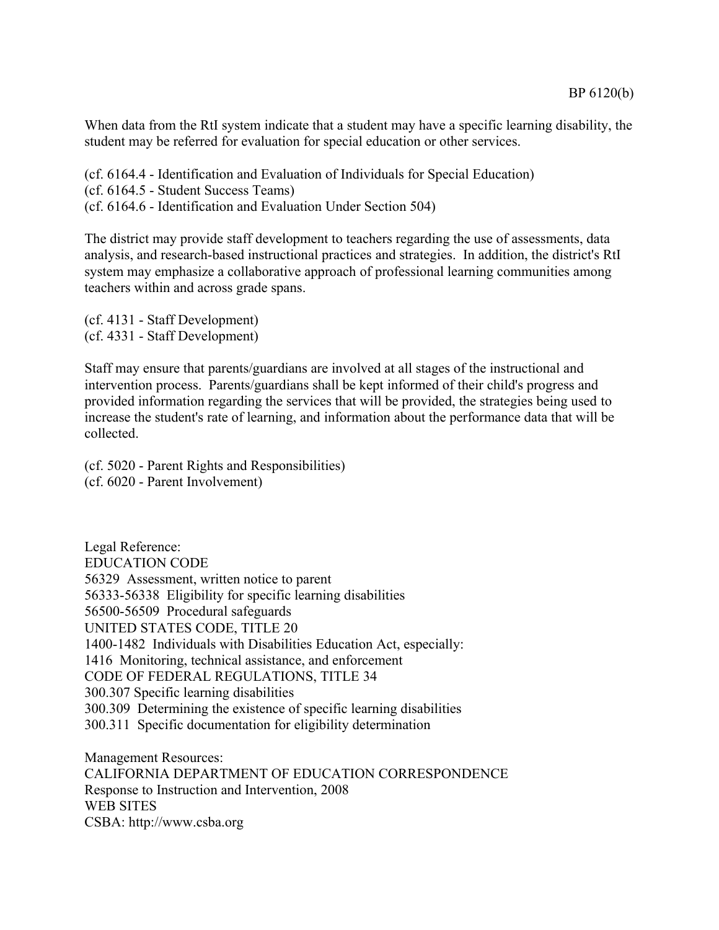When data from the RtI system indicate that a student may have a specific learning disability, the student may be referred for evaluation for special education or other services.

(cf. 6164.4 - Identification and Evaluation of Individuals for Special Education) (cf. 6164.5 - Student Success Teams) (cf. 6164.6 - Identification and Evaluation Under Section 504)

The district may provide staff development to teachers regarding the use of assessments, data analysis, and research-based instructional practices and strategies. In addition, the district's RtI system may emphasize a collaborative approach of professional learning communities among teachers within and across grade spans.

(cf. 4131 - Staff Development) (cf. 4331 - Staff Development)

Staff may ensure that parents/guardians are involved at all stages of the instructional and intervention process. Parents/guardians shall be kept informed of their child's progress and provided information regarding the services that will be provided, the strategies being used to increase the student's rate of learning, and information about the performance data that will be collected.

(cf. 5020 - Parent Rights and Responsibilities) (cf. 6020 - Parent Involvement)

Legal Reference: EDUCATION CODE 56329 Assessment, written notice to parent 56333-56338 Eligibility for specific learning disabilities 56500-56509 Procedural safeguards UNITED STATES CODE, TITLE 20 1400-1482 Individuals with Disabilities Education Act, especially: 1416 Monitoring, technical assistance, and enforcement CODE OF FEDERAL REGULATIONS, TITLE 34 300.307 Specific learning disabilities 300.309 Determining the existence of specific learning disabilities 300.311 Specific documentation for eligibility determination

Management Resources: CALIFORNIA DEPARTMENT OF EDUCATION CORRESPONDENCE Response to Instruction and Intervention, 2008 WEB SITES CSBA: http://www.csba.org